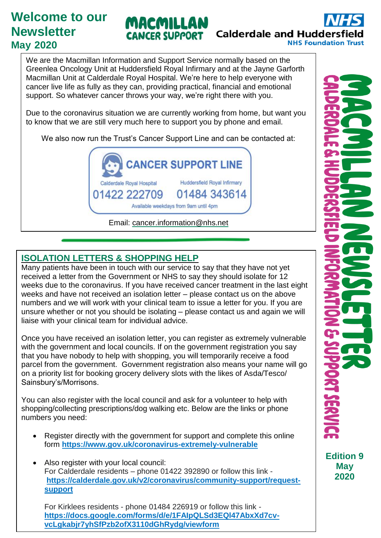# **Welcome to our Newsletter May 2020**



We are the Macmillan Information and Support Service normally based on the Greenlea Oncology Unit at Huddersfield Royal Infirmary and at the Jayne Garforth Macmillan Unit at Calderdale Royal Hospital. We're here to help everyone with cancer live life as fully as they can, providing practical, financial and emotional support. So whatever cancer throws your way, we're right there with you.

MACMILLAN

**CANCER SUPPORT** 

Due to the coronavirus situation we are currently working from home, but want you to know that we are still very much here to support you by phone and email.

We also now run the Trust's Cancer Support Line and can be contacted at:



## **ISOLATION LETTERS & SHOPPING HELP**

unsure whether or not you should be isolating – please contact us and again we will liaise with your clinical team for individual advice. Many patients have been in touch with our service to say that they have not yet received a letter from the Government or NHS to say they should isolate for 12 weeks due to the coronavirus. If you have received cancer treatment in the last eight weeks and have not received an isolation letter – please contact us on the above numbers and we will work with your clinical team to issue a letter for you. If you are

Or email us at **[cancer.information@nhs.net](mailto:cancer.information@nhs.net)** parcel from the government. Government registration also means your name will go on a priority list for booking grocery delivery slots with the likes of Asda/Tesco/ Sainsbury's/Morrisons. Once you have received an isolation letter, you can register as extremely vulnerable with the government and local councils. If on the government registration you say that you have nobody to help with shopping, you will temporarily receive a food

You can also register with the local council and ask for a volunteer to help with shopping/collecting prescriptions/dog walking etc. Below are the links or phone numbers you need:

- Register directly with the government for support and complete this online form **<https://www.gov.uk/coronavirus-extremely-vulnerable>**
- Also register with your local council: For Calderdale residents – phone 01422 392890 or follow this link **[https://calderdale.gov.uk/v2/coronavirus/community-support/request](https://calderdale.gov.uk/v2/coronavirus/community-support/request-support?fbclid=IwAR0BnAf2Ad2dUApd2fN3uObdpUVOQLaUfZH_S8CkfgQxc_ljg6s6Y3Q1vZk)[support](https://calderdale.gov.uk/v2/coronavirus/community-support/request-support?fbclid=IwAR0BnAf2Ad2dUApd2fN3uObdpUVOQLaUfZH_S8CkfgQxc_ljg6s6Y3Q1vZk)**

For Kirklees residents - phone 01484 226919 or follow this link **[https://docs.google.com/forms/d/e/1FAIpQLSd3EQl47AbxXd7cv](https://docs.google.com/forms/d/e/1FAIpQLSd3EQl47AbxXd7cv-vcLgkabjr7yhSfPzb2ofX3110dGhRydg/viewform)[vcLgkabjr7yhSfPzb2ofX3110dGhRydg/viewform](https://docs.google.com/forms/d/e/1FAIpQLSd3EQl47AbxXd7cv-vcLgkabjr7yhSfPzb2ofX3110dGhRydg/viewform)**

**Edition 9 May 2020**